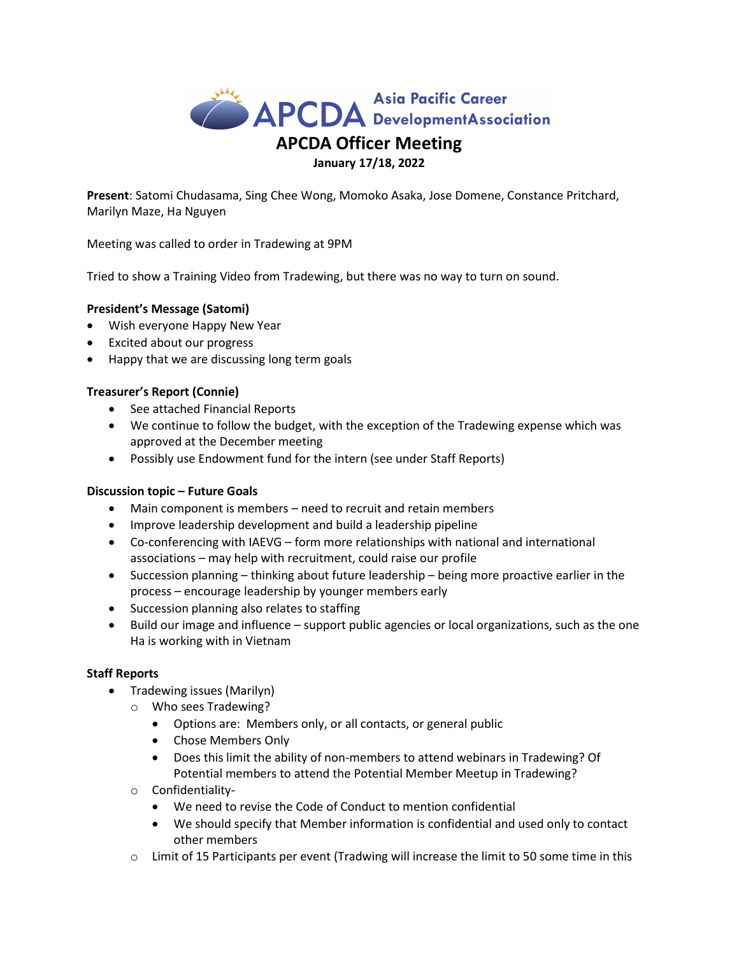

Present: Satomi Chudasama, Sing Chee Wong, Momoko Asaka, Jose Domene, Constance Pritchard, Marilyn Maze, Ha Nguyen

Meeting was called to order in Tradewing at 9PM

Tried to show a Training Video from Tradewing, but there was no way to turn on sound.

# President's Message (Satomi)

- Wish everyone Happy New Year
- Excited about our progress
- Happy that we are discussing long term goals

# Treasurer's Report (Connie)

- See attached Financial Reports
- We continue to follow the budget, with the exception of the Tradewing expense which was approved at the December meeting
- Possibly use Endowment fund for the intern (see under Staff Reports)

### Discussion topic – Future Goals

- Main component is members need to recruit and retain members
- Improve leadership development and build a leadership pipeline
- Co-conferencing with IAEVG form more relationships with national and international associations – may help with recruitment, could raise our profile
- Succession planning thinking about future leadership being more proactive earlier in the process – encourage leadership by younger members early
- Succession planning also relates to staffing
- Build our image and influence support public agencies or local organizations, such as the one Ha is working with in Vietnam

### Staff Reports

- Tradewing issues (Marilyn)
	- o Who sees Tradewing?
		- Options are: Members only, or all contacts, or general public
		- Chose Members Only
		- Does this limit the ability of non-members to attend webinars in Tradewing? Of Potential members to attend the Potential Member Meetup in Tradewing?
	- o Confidentiality-
		- We need to revise the Code of Conduct to mention confidential
		- We should specify that Member information is confidential and used only to contact other members
	- $\circ$  Limit of 15 Participants per event (Tradwing will increase the limit to 50 some time in this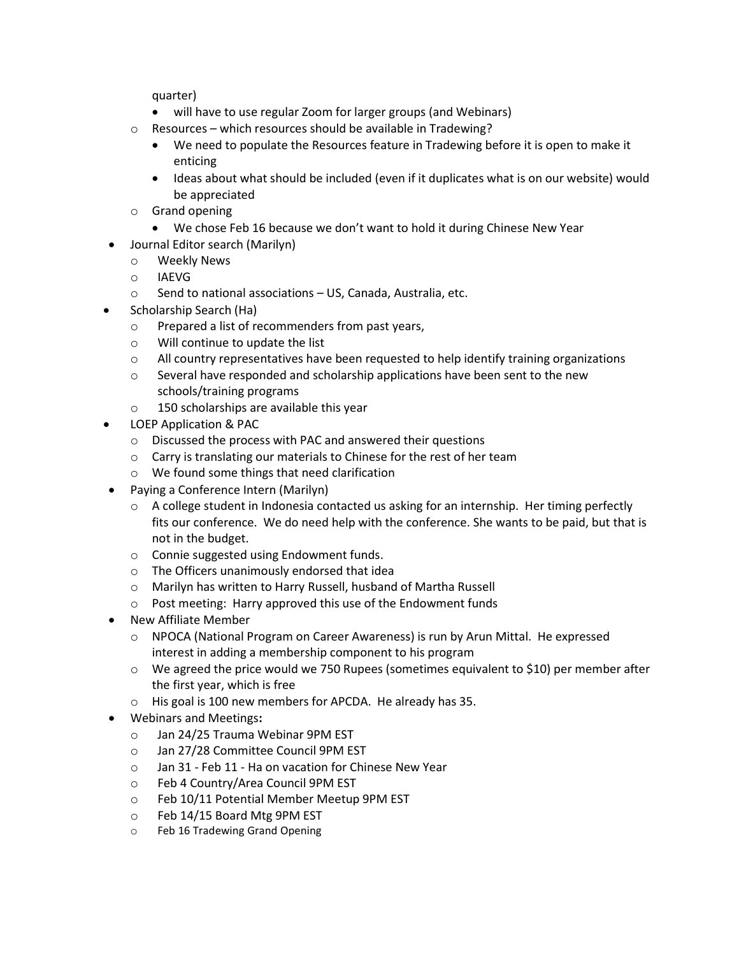quarter)

- will have to use regular Zoom for larger groups (and Webinars)
- o Resources which resources should be available in Tradewing?
	- We need to populate the Resources feature in Tradewing before it is open to make it enticing
	- Ideas about what should be included (even if it duplicates what is on our website) would be appreciated
- o Grand opening
	- We chose Feb 16 because we don't want to hold it during Chinese New Year
- Journal Editor search (Marilyn)
	- o Weekly News
	- o IAEVG
	- o Send to national associations US, Canada, Australia, etc.
- Scholarship Search (Ha)
	- o Prepared a list of recommenders from past years,
	- o Will continue to update the list
	- o All country representatives have been requested to help identify training organizations
	- $\circ$  Several have responded and scholarship applications have been sent to the new schools/training programs
	- o 150 scholarships are available this year
- LOEP Application & PAC
	- o Discussed the process with PAC and answered their questions
	- o Carry is translating our materials to Chinese for the rest of her team
	- o We found some things that need clarification
- Paying a Conference Intern (Marilyn)
	- $\circ$  A college student in Indonesia contacted us asking for an internship. Her timing perfectly fits our conference. We do need help with the conference. She wants to be paid, but that is not in the budget.
	- o Connie suggested using Endowment funds.
	- o The Officers unanimously endorsed that idea
	- o Marilyn has written to Harry Russell, husband of Martha Russell
	- o Post meeting: Harry approved this use of the Endowment funds
- New Affiliate Member
	- o NPOCA (National Program on Career Awareness) is run by Arun Mittal. He expressed interest in adding a membership component to his program
	- $\circ$  We agreed the price would we 750 Rupees (sometimes equivalent to \$10) per member after the first year, which is free
	- o His goal is 100 new members for APCDA. He already has 35.
- Webinars and Meetings:
	- o Jan 24/25 Trauma Webinar 9PM EST
	- o Jan 27/28 Committee Council 9PM EST
	- o Jan 31 Feb 11 Ha on vacation for Chinese New Year
	- o Feb 4 Country/Area Council 9PM EST
	- o Feb 10/11 Potential Member Meetup 9PM EST
	- o Feb 14/15 Board Mtg 9PM EST
	- o Feb 16 Tradewing Grand Opening